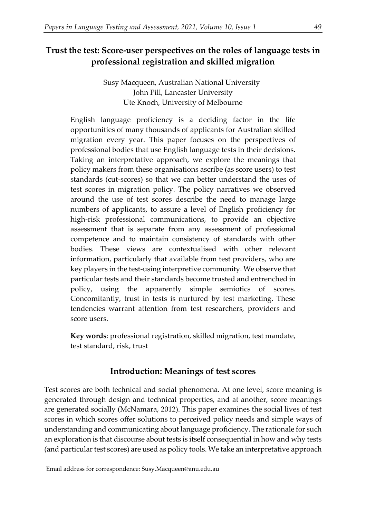# **Trust the test: Score-user perspectives on the roles of language tests in professional registration and skilled migration**

Susy Macqueen, Australian National University John Pill, Lancaster University Ute Knoch, University of Melbourne

English language proficiency is a deciding factor in the life opportunities of many thousands of applicants for Australian skilled migration every year. This paper focuses on the perspectives of professional bodies that use English language tests in their decisions. Taking an interpretative approach, we explore the meanings that policy makers from these organisations ascribe (as score users) to test standards (cut-scores) so that we can better understand the uses of test scores in migration policy. The policy narratives we observed around the use of test scores describe the need to manage large numbers of applicants, to assure a level of English proficiency for high-risk professional communications, to provide an objective assessment that is separate from any assessment of professional competence and to maintain consistency of standards with other bodies. These views are contextualised with other relevant information, particularly that available from test providers, who are key players in the test-using interpretive community. We observe that particular tests and their standards become trusted and entrenched in policy, using the apparently simple semiotics of scores. Concomitantly, trust in tests is nurtured by test marketing. These tendencies warrant attention from test researchers, providers and score users.

**Key words**: professional registration, skilled migration, test mandate, test standard, risk, trust

## **Introduction: Meanings of test scores**

Test scores are both technical and social phenomena. At one level, score meaning is generated through design and technical properties, and at another, score meanings are generated socially (McNamara, 2012). This paper examines the social lives of test scores in which scores offer solutions to perceived policy needs and simple ways of understanding and communicating about language proficiency. The rationale for such an exploration is that discourse about tests is itself consequential in how and why tests (and particular test scores) are used as policy tools. We take an interpretative approach

<span id="page-0-0"></span><sup>1</sup>Email address for correspondence: Susy.Macqueen@anu.edu.au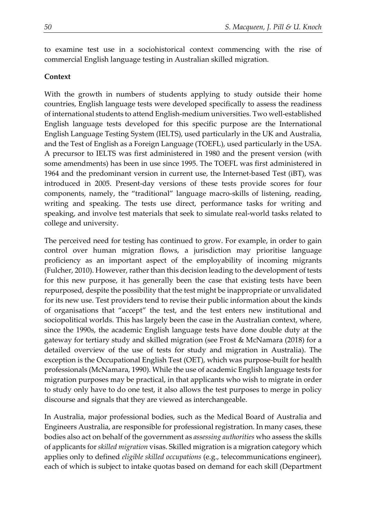to examine test use in a sociohistorical context commencing with the rise of commercial English language testing in Australian skilled migration.

#### **Context**

With the growth in numbers of students applying to study outside their home countries, English language tests were developed specifically to assess the readiness of international students to attend English-medium universities. Two well-established English language tests developed for this specific purpose are the International English Language Testing System (IELTS), used particularly in the UK and Australia, and the Test of English as a Foreign Language (TOEFL), used particularly in the USA. A precursor to IELTS was first administered in 1980 and the present version (with some amendments) has been in use since 1995. The TOEFL was first administered in 1964 and the predominant version in current use, the Internet-based Test (iBT), was introduced in 2005. Present-day versions of these tests provide scores for four components, namely, the "traditional" language macro-skills of listening, reading, writing and speaking. The tests use direct, performance tasks for writing and speaking, and involve test materials that seek to simulate real-world tasks related to college and university.

The perceived need for testing has continued to grow. For example, in order to gain control over human migration flows, a jurisdiction may prioritise language proficiency as an important aspect of the employability of incoming migrants (Fulcher, 2010). However, rather than this decision leading to the development of tests for this new purpose, it has generally been the case that existing tests have been repurposed, despite the possibility that the test might be inappropriate or unvalidated for its new use. Test providers tend to revise their public information about the kinds of organisations that "accept" the test, and the test enters new institutional and sociopolitical worlds. This has largely been the case in the Australian context, where, since the 1990s, the academic English language tests have done double duty at the gateway for tertiary study and skilled migration (see Frost & McNamara (2018) for a detailed overview of the use of tests for study and migration in Australia). The exception is the Occupational English Test (OET), which was purpose-built for health professionals (McNamara, 1990). While the use of academic English language tests for migration purposes may be practical, in that applicants who wish to migrate in order to study only have to do one test, it also allows the test purposes to merge in policy discourse and signals that they are viewed as interchangeable.

In Australia, major professional bodies, such as the Medical Board of Australia and Engineers Australia, are responsible for professional registration. In many cases, these bodies also act on behalf of the government as *assessing authorities* who assess the skills of applicants for *skilled migration* visas. Skilled migration is a migration category which applies only to defined *eligible skilled occupations* (e.g., telecommunications engineer), each of which is subject to intake quotas based on demand for each skill (Department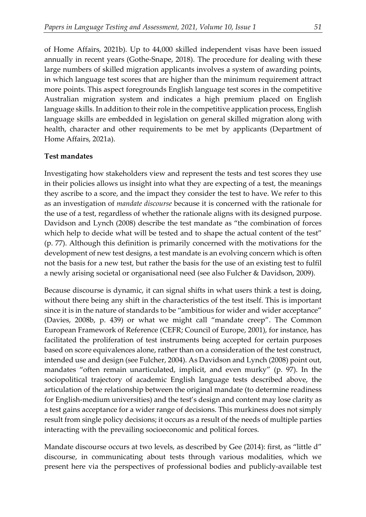of Home Affairs, 2021b). Up to 44,000 skilled independent visas have been issued annually in recent years (Gothe-Snape, 2018). The procedure for dealing with these large numbers of skilled migration applicants involves a system of awarding points, in which language test scores that are higher than the minimum requirement attract more points. This aspect foregrounds English language test scores in the competitive Australian migration system and indicates a high premium placed on English language skills. In addition to their role in the competitive application process, English language skills are embedded in legislation on general skilled migration along with health, character and other requirements to be met by applicants (Department of Home Affairs, 2021a).

#### **Test mandates**

Investigating how stakeholders view and represent the tests and test scores they use in their policies allows us insight into what they are expecting of a test, the meanings they ascribe to a score, and the impact they consider the test to have. We refer to this as an investigation of *mandate discourse* because it is concerned with the rationale for the use of a test, regardless of whether the rationale aligns with its designed purpose. Davidson and Lynch (2008) describe the test mandate as "the combination of forces which help to decide what will be tested and to shape the actual content of the test" (p. 77). Although this definition is primarily concerned with the motivations for the development of new test designs, a test mandate is an evolving concern which is often not the basis for a new test, but rather the basis for the use of an existing test to fulfil a newly arising societal or organisational need (see also Fulcher & Davidson, 2009).

Because discourse is dynamic, it can signal shifts in what users think a test is doing, without there being any shift in the characteristics of the test itself. This is important since it is in the nature of standards to be "ambitious for wider and wider acceptance" (Davies, 2008b, p. 439) or what we might call "mandate creep". The Common European Framework of Reference (CEFR; Council of Europe, 2001), for instance, has facilitated the proliferation of test instruments being accepted for certain purposes based on score equivalences alone, rather than on a consideration of the test construct, intended use and design (see Fulcher, 2004). As Davidson and Lynch (2008) point out, mandates "often remain unarticulated, implicit, and even murky" (p. 97). In the sociopolitical trajectory of academic English language tests described above, the articulation of the relationship between the original mandate (to determine readiness for English-medium universities) and the test's design and content may lose clarity as a test gains acceptance for a wider range of decisions. This murkiness does not simply result from single policy decisions; it occurs as a result of the needs of multiple parties interacting with the prevailing socioeconomic and political forces.

Mandate discourse occurs at two levels, as described by Gee (2014): first, as "little d" discourse, in communicating about tests through various modalities, which we present here via the perspectives of professional bodies and publicly-available test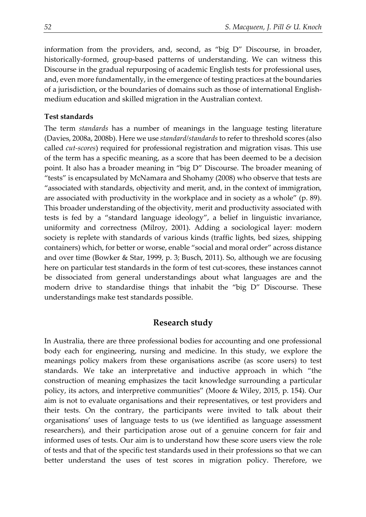information from the providers, and, second, as "big D" Discourse, in broader, historically-formed, group-based patterns of understanding. We can witness this Discourse in the gradual repurposing of academic English tests for professional uses, and, even more fundamentally, in the emergence of testing practices at the boundaries of a jurisdiction, or the boundaries of domains such as those of international Englishmedium education and skilled migration in the Australian context.

#### **Test standards**

The term *standards* has a number of meanings in the language testing literature (Davies, 2008a, 2008b). Here we use *standard/standards* to refer to threshold scores (also called *cut-scores*) required for professional registration and migration visas. This use of the term has a specific meaning, as a score that has been deemed to be a decision point. It also has a broader meaning in "big D" Discourse. The broader meaning of "tests" is encapsulated by McNamara and Shohamy (2008) who observe that tests are "associated with standards, objectivity and merit, and, in the context of immigration, are associated with productivity in the workplace and in society as a whole" (p. 89). This broader understanding of the objectivity, merit and productivity associated with tests is fed by a "standard language ideology", a belief in linguistic invariance, uniformity and correctness (Milroy, 2001). Adding a sociological layer: modern society is replete with standards of various kinds (traffic lights, bed sizes, shipping containers) which, for better or worse, enable "social and moral order" across distance and over time (Bowker & Star, 1999, p. 3; Busch, 2011). So, although we are focusing here on particular test standards in the form of test cut-scores, these instances cannot be dissociated from general understandings about what languages are and the modern drive to standardise things that inhabit the "big D" Discourse. These understandings make test standards possible.

### **Research study**

In Australia, there are three professional bodies for accounting and one professional body each for engineering, nursing and medicine. In this study, we explore the meanings policy makers from these organisations ascribe (as score users) to test standards. We take an interpretative and inductive approach in which "the construction of meaning emphasizes the tacit knowledge surrounding a particular policy, its actors, and interpretive communities" (Moore & Wiley, 2015, p. 154). Our aim is not to evaluate organisations and their representatives, or test providers and their tests. On the contrary, the participants were invited to talk about their organisations' uses of language tests to us (we identified as language assessment researchers), and their participation arose out of a genuine concern for fair and informed uses of tests. Our aim is to understand how these score users view the role of tests and that of the specific test standards used in their professions so that we can better understand the uses of test scores in migration policy. Therefore, we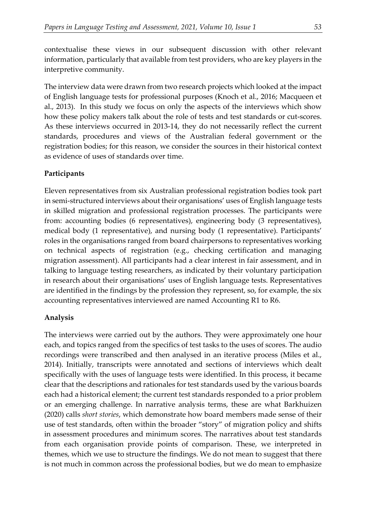contextualise these views in our subsequent discussion with other relevant information, particularly that available from test providers, who are key players in the interpretive community.

The interview data were drawn from two research projects which looked at the impact of English language tests for professional purposes (Knoch et al., 2016; Macqueen et al., 2013). In this study we focus on only the aspects of the interviews which show how these policy makers talk about the role of tests and test standards or cut-scores. As these interviews occurred in 2013-14, they do not necessarily reflect the current standards, procedures and views of the Australian federal government or the registration bodies; for this reason, we consider the sources in their historical context as evidence of uses of standards over time.

## **Participants**

Eleven representatives from six Australian professional registration bodies took part in semi-structured interviews about their organisations' uses of English language tests in skilled migration and professional registration processes. The participants were from: accounting bodies (6 representatives), engineering body (3 representatives), medical body (1 representative), and nursing body (1 representative). Participants' roles in the organisations ranged from board chairpersons to representatives working on technical aspects of registration (e.g., checking certification and managing migration assessment). All participants had a clear interest in fair assessment, and in talking to language testing researchers, as indicated by their voluntary participation in research about their organisations' uses of English language tests. Representatives are identified in the findings by the profession they represent, so, for example, the six accounting representatives interviewed are named Accounting R1 to R6.

## **Analysis**

The interviews were carried out by the authors. They were approximately one hour each, and topics ranged from the specifics of test tasks to the uses of scores. The audio recordings were transcribed and then analysed in an iterative process (Miles et al., 2014). Initially, transcripts were annotated and sections of interviews which dealt specifically with the uses of language tests were identified. In this process, it became clear that the descriptions and rationales for test standards used by the various boards each had a historical element; the current test standards responded to a prior problem or an emerging challenge. In narrative analysis terms, these are what Barkhuizen (2020) calls *short stories*, which demonstrate how board members made sense of their use of test standards, often within the broader "story" of migration policy and shifts in assessment procedures and minimum scores. The narratives about test standards from each organisation provide points of comparison. These, we interpreted in themes, which we use to structure the findings. We do not mean to suggest that there is not much in common across the professional bodies, but we do mean to emphasize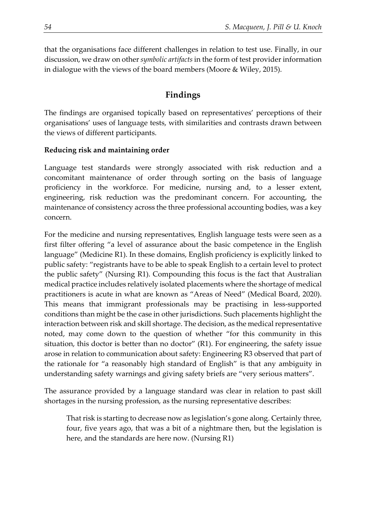that the organisations face different challenges in relation to test use. Finally, in our discussion, we draw on other *symbolic artifacts* in the form of test provider information in dialogue with the views of the board members (Moore & Wiley, 2015).

# **Findings**

The findings are organised topically based on representatives' perceptions of their organisations' uses of language tests, with similarities and contrasts drawn between the views of different participants.

## **Reducing risk and maintaining order**

Language test standards were strongly associated with risk reduction and a concomitant maintenance of order through sorting on the basis of language proficiency in the workforce. For medicine, nursing and, to a lesser extent, engineering, risk reduction was the predominant concern. For accounting, the maintenance of consistency across the three professional accounting bodies, was a key concern.

For the medicine and nursing representatives, English language tests were seen as a first filter offering "a level of assurance about the basic competence in the English language" (Medicine R1). In these domains, English proficiency is explicitly linked to public safety: "registrants have to be able to speak English to a certain level to protect the public safety" (Nursing R1). Compounding this focus is the fact that Australian medical practice includes relatively isolated placements where the shortage of medical practitioners is acute in what are known as "Areas of Need" (Medical Board, 2020). This means that immigrant professionals may be practising in less-supported conditions than might be the case in other jurisdictions. Such placements highlight the interaction between risk and skill shortage. The decision, as the medical representative noted, may come down to the question of whether "for this community in this situation, this doctor is better than no doctor" (R1). For engineering, the safety issue arose in relation to communication about safety: Engineering R3 observed that part of the rationale for "a reasonably high standard of English" is that any ambiguity in understanding safety warnings and giving safety briefs are "very serious matters".

The assurance provided by a language standard was clear in relation to past skill shortages in the nursing profession, as the nursing representative describes:

That risk is starting to decrease now as legislation's gone along. Certainly three, four, five years ago, that was a bit of a nightmare then, but the legislation is here, and the standards are here now. (Nursing R1)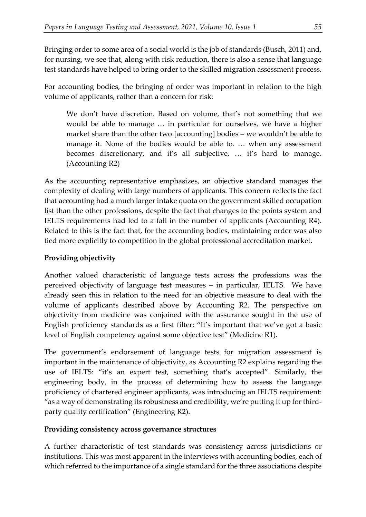Bringing order to some area of a social world is the job of standards (Busch, 2011) and, for nursing, we see that, along with risk reduction, there is also a sense that language test standards have helped to bring order to the skilled migration assessment process.

For accounting bodies, the bringing of order was important in relation to the high volume of applicants, rather than a concern for risk:

We don't have discretion. Based on volume, that's not something that we would be able to manage … in particular for ourselves, we have a higher market share than the other two [accounting] bodies – we wouldn't be able to manage it. None of the bodies would be able to. … when any assessment becomes discretionary, and it's all subjective, … it's hard to manage. (Accounting R2)

As the accounting representative emphasizes, an objective standard manages the complexity of dealing with large numbers of applicants. This concern reflects the fact that accounting had a much larger intake quota on the government skilled occupation list than the other professions, despite the fact that changes to the points system and IELTS requirements had led to a fall in the number of applicants (Accounting R4). Related to this is the fact that, for the accounting bodies, maintaining order was also tied more explicitly to competition in the global professional accreditation market.

## **Providing objectivity**

Another valued characteristic of language tests across the professions was the perceived objectivity of language test measures – in particular, IELTS. We have already seen this in relation to the need for an objective measure to deal with the volume of applicants described above by Accounting R2. The perspective on objectivity from medicine was conjoined with the assurance sought in the use of English proficiency standards as a first filter: "It's important that we've got a basic level of English competency against some objective test" (Medicine R1).

The government's endorsement of language tests for migration assessment is important in the maintenance of objectivity, as Accounting R2 explains regarding the use of IELTS: "it's an expert test, something that's accepted". Similarly, the engineering body, in the process of determining how to assess the language proficiency of chartered engineer applicants, was introducing an IELTS requirement: "as a way of demonstrating its robustness and credibility, we're putting it up for thirdparty quality certification" (Engineering R2).

## **Providing consistency across governance structures**

A further characteristic of test standards was consistency across jurisdictions or institutions. This was most apparent in the interviews with accounting bodies, each of which referred to the importance of a single standard for the three associations despite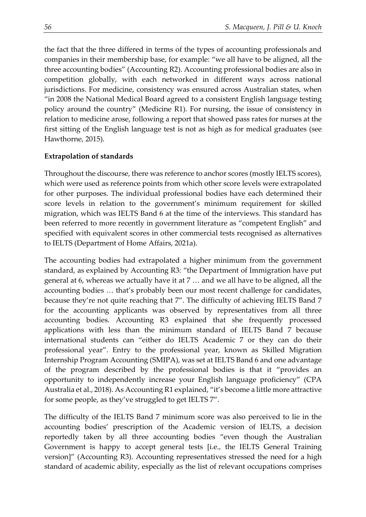the fact that the three differed in terms of the types of accounting professionals and companies in their membership base, for example: "we all have to be aligned, all the three accounting bodies" (Accounting R2). Accounting professional bodies are also in competition globally, with each networked in different ways across national jurisdictions. For medicine, consistency was ensured across Australian states, when "in 2008 the National Medical Board agreed to a consistent English language testing policy around the country" (Medicine R1). For nursing, the issue of consistency in relation to medicine arose, following a report that showed pass rates for nurses at the first sitting of the English language test is not as high as for medical graduates (see Hawthorne, 2015).

#### **Extrapolation of standards**

Throughout the discourse, there was reference to anchor scores (mostly IELTS scores), which were used as reference points from which other score levels were extrapolated for other purposes. The individual professional bodies have each determined their score levels in relation to the government's minimum requirement for skilled migration, which was IELTS Band 6 at the time of the interviews. This standard has been referred to more recently in government literature as "competent English" and specified with equivalent scores in other commercial tests recognised as alternatives to IELTS (Department of Home Affairs, 2021a).

The accounting bodies had extrapolated a higher minimum from the government standard, as explained by Accounting R3: "the Department of Immigration have put general at 6, whereas we actually have it at 7 … and we all have to be aligned, all the accounting bodies … that's probably been our most recent challenge for candidates, because they're not quite reaching that 7". The difficulty of achieving IELTS Band 7 for the accounting applicants was observed by representatives from all three accounting bodies. Accounting R3 explained that she frequently processed applications with less than the minimum standard of IELTS Band 7 because international students can "either do IELTS Academic 7 or they can do their professional year". Entry to the professional year, known as Skilled Migration Internship Program Accounting (SMIPA), was set at IELTS Band 6 and one advantage of the program described by the professional bodies is that it "provides an opportunity to independently increase your English language proficiency" (CPA Australia et al., 2018). As Accounting R1 explained, "it's become a little more attractive for some people, as they've struggled to get IELTS 7".

The difficulty of the IELTS Band 7 minimum score was also perceived to lie in the accounting bodies' prescription of the Academic version of IELTS, a decision reportedly taken by all three accounting bodies "even though the Australian Government is happy to accept general tests [i.e., the IELTS General Training version]" (Accounting R3). Accounting representatives stressed the need for a high standard of academic ability, especially as the list of relevant occupations comprises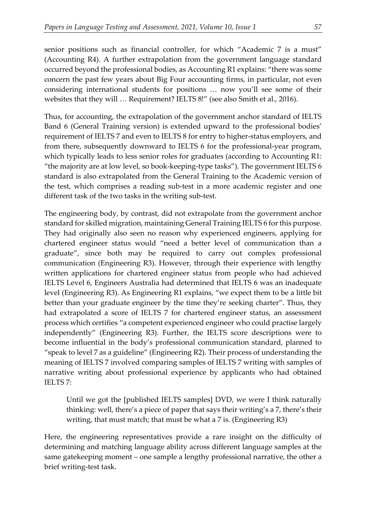senior positions such as financial controller, for which "Academic 7 is a must" (Accounting R4). A further extrapolation from the government language standard occurred beyond the professional bodies, as Accounting R1 explains: "there was some concern the past few years about Big Four accounting firms, in particular, not even considering international students for positions … now you'll see some of their websites that they will … Requirement? IELTS 8!" (see also Smith et al., 2016).

Thus, for accounting, the extrapolation of the government anchor standard of IELTS Band 6 (General Training version) is extended upward to the professional bodies' requirement of IELTS 7 and even to IELTS 8 for entry to higher-status employers, and from there, subsequently downward to IELTS 6 for the professional-year program, which typically leads to less senior roles for graduates (according to Accounting R1: "the majority are at low level, so book-keeping-type tasks"). The government IELTS 6 standard is also extrapolated from the General Training to the Academic version of the test, which comprises a reading sub-test in a more academic register and one different task of the two tasks in the writing sub-test.

The engineering body, by contrast, did not extrapolate from the government anchor standard for skilled migration, maintaining General Training IELTS 6 for this purpose. They had originally also seen no reason why experienced engineers, applying for chartered engineer status would "need a better level of communication than a graduate", since both may be required to carry out complex professional communication (Engineering R3). However, through their experience with lengthy written applications for chartered engineer status from people who had achieved IELTS Level 6, Engineers Australia had determined that IELTS 6 was an inadequate level (Engineering R3). As Engineering R1 explains, "we expect them to be a little bit better than your graduate engineer by the time they're seeking charter". Thus, they had extrapolated a score of IELTS 7 for chartered engineer status, an assessment process which certifies "a competent experienced engineer who could practise largely independently" (Engineering R3). Further, the IELTS score descriptions were to become influential in the body's professional communication standard, planned to "speak to level 7 as a guideline" (Engineering R2). Their process of understanding the meaning of IELTS 7 involved comparing samples of IELTS 7 writing with samples of narrative writing about professional experience by applicants who had obtained IELTS 7:

Until we got the [published IELTS samples] DVD, we were I think naturally thinking: well, there's a piece of paper that says their writing's a 7, there's their writing, that must match; that must be what a 7 is. (Engineering R3)

Here, the engineering representatives provide a rare insight on the difficulty of determining and matching language ability across different language samples at the same gatekeeping moment – one sample a lengthy professional narrative, the other a brief writing-test task.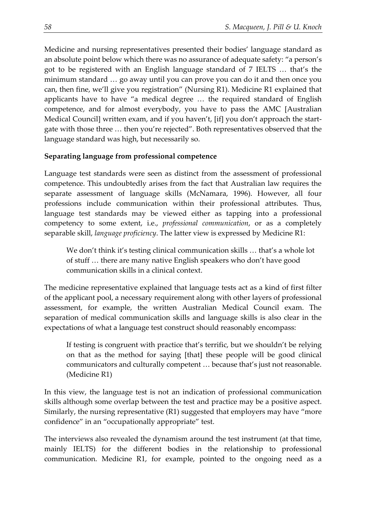Medicine and nursing representatives presented their bodies' language standard as an absolute point below which there was no assurance of adequate safety: "a person's got to be registered with an English language standard of 7 IELTS … that's the minimum standard … go away until you can prove you can do it and then once you can, then fine, we'll give you registration" (Nursing R1). Medicine R1 explained that applicants have to have "a medical degree … the required standard of English competence, and for almost everybody, you have to pass the AMC [Australian Medical Council] written exam, and if you haven't, [if] you don't approach the startgate with those three … then you're rejected". Both representatives observed that the language standard was high, but necessarily so.

## **Separating language from professional competence**

Language test standards were seen as distinct from the assessment of professional competence. This undoubtedly arises from the fact that Australian law requires the separate assessment of language skills (McNamara, 1996). However, all four professions include communication within their professional attributes. Thus, language test standards may be viewed either as tapping into a professional competency to some extent, i.e., *professional communication*, or as a completely separable skill, *language proficiency*. The latter view is expressed by Medicine R1:

We don't think it's testing clinical communication skills ... that's a whole lot of stuff … there are many native English speakers who don't have good communication skills in a clinical context.

The medicine representative explained that language tests act as a kind of first filter of the applicant pool, a necessary requirement along with other layers of professional assessment, for example, the written Australian Medical Council exam. The separation of medical communication skills and language skills is also clear in the expectations of what a language test construct should reasonably encompass:

If testing is congruent with practice that's terrific, but we shouldn't be relying on that as the method for saying [that] these people will be good clinical communicators and culturally competent … because that's just not reasonable. (Medicine R1)

In this view, the language test is not an indication of professional communication skills although some overlap between the test and practice may be a positive aspect. Similarly, the nursing representative (R1) suggested that employers may have "more confidence" in an "occupationally appropriate" test.

The interviews also revealed the dynamism around the test instrument (at that time, mainly IELTS) for the different bodies in the relationship to professional communication. Medicine R1, for example, pointed to the ongoing need as a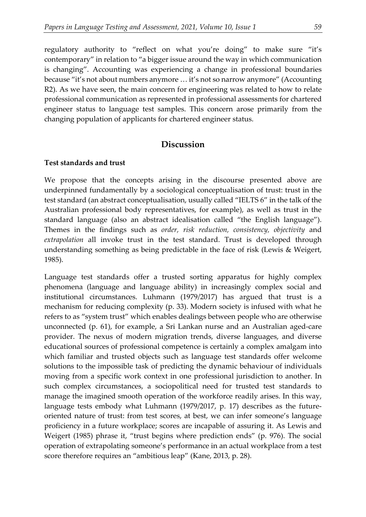regulatory authority to "reflect on what you're doing" to make sure "it's contemporary" in relation to "a bigger issue around the way in which communication is changing". Accounting was experiencing a change in professional boundaries because "it's not about numbers anymore … it's not so narrow anymore" (Accounting R2). As we have seen, the main concern for engineering was related to how to relate professional communication as represented in professional assessments for chartered engineer status to language test samples. This concern arose primarily from the changing population of applicants for chartered engineer status.

### **Discussion**

#### **Test standards and trust**

We propose that the concepts arising in the discourse presented above are underpinned fundamentally by a sociological conceptualisation of trust: trust in the test standard (an abstract conceptualisation, usually called "IELTS 6" in the talk of the Australian professional body representatives, for example), as well as trust in the standard language (also an abstract idealisation called "the English language"). Themes in the findings such as *order, risk reduction, consistency, objectivity* and *extrapolation* all invoke trust in the test standard. Trust is developed through understanding something as being predictable in the face of risk (Lewis & Weigert, 1985).

Language test standards offer a trusted sorting apparatus for highly complex phenomena (language and language ability) in increasingly complex social and institutional circumstances. Luhmann (1979/2017) has argued that trust is a mechanism for reducing complexity (p. 33). Modern society is infused with what he refers to as "system trust" which enables dealings between people who are otherwise unconnected (p. 61), for example, a Sri Lankan nurse and an Australian aged-care provider. The nexus of modern migration trends, diverse languages, and diverse educational sources of professional competence is certainly a complex amalgam into which familiar and trusted objects such as language test standards offer welcome solutions to the impossible task of predicting the dynamic behaviour of individuals moving from a specific work context in one professional jurisdiction to another. In such complex circumstances, a sociopolitical need for trusted test standards to manage the imagined smooth operation of the workforce readily arises. In this way, language tests embody what Luhmann (1979/2017, p. 17) describes as the futureoriented nature of trust: from test scores, at best, we can infer someone's language proficiency in a future workplace; scores are incapable of assuring it. As Lewis and Weigert (1985) phrase it, "trust begins where prediction ends" (p. 976). The social operation of extrapolating someone's performance in an actual workplace from a test score therefore requires an "ambitious leap" (Kane, 2013, p. 28).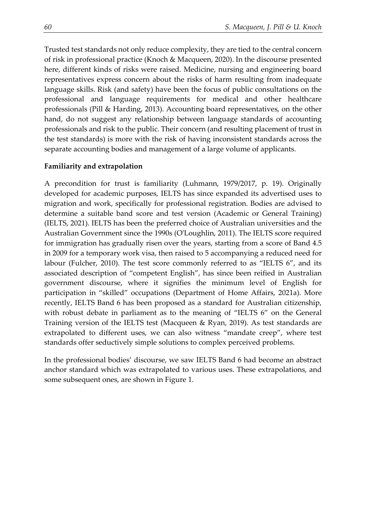Trusted test standards not only reduce complexity, they are tied to the central concern of risk in professional practice (Knoch & Macqueen, 2020). In the discourse presented here, different kinds of risks were raised. Medicine, nursing and engineering board representatives express concern about the risks of harm resulting from inadequate language skills. Risk (and safety) have been the focus of public consultations on the professional and language requirements for medical and other healthcare professionals (Pill & Harding, 2013). Accounting board representatives, on the other hand, do not suggest any relationship between language standards of accounting professionals and risk to the public. Their concern (and resulting placement of trust in the test standards) is more with the risk of having inconsistent standards across the separate accounting bodies and management of a large volume of applicants.

#### **Familiarity and extrapolation**

A precondition for trust is familiarity (Luhmann, 1979/2017, p. 19). Originally developed for academic purposes, IELTS has since expanded its advertised uses to migration and work, specifically for professional registration. Bodies are advised to determine a suitable band score and test version (Academic or General Training) (IELTS, 2021). IELTS has been the preferred choice of Australian universities and the Australian Government since the 1990s (O'Loughlin, 2011). The IELTS score required for immigration has gradually risen over the years, starting from a score of Band 4.5 in 2009 for a temporary work visa, then raised to 5 accompanying a reduced need for labour (Fulcher, 2010). The test score commonly referred to as "IELTS 6", and its associated description of "competent English", has since been reified in Australian government discourse, where it signifies the minimum level of English for participation in "skilled" occupations (Department of Home Affairs, 2021a). More recently, IELTS Band 6 has been proposed as a standard for Australian citizenship, with robust debate in parliament as to the meaning of "IELTS 6" on the General Training version of the IELTS test (Macqueen & Ryan, 2019). As test standards are extrapolated to different uses, we can also witness "mandate creep", where test standards offer seductively simple solutions to complex perceived problems.

In the professional bodies' discourse, we saw IELTS Band 6 had become an abstract anchor standard which was extrapolated to various uses. These extrapolations, and some subsequent ones, are shown in Figure 1.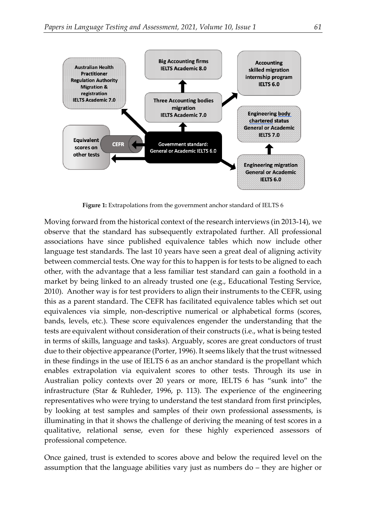

**Figure 1:** Extrapolations from the government anchor standard of IELTS 6

Moving forward from the historical context of the research interviews (in 2013-14), we observe that the standard has subsequently extrapolated further. All professional associations have since published equivalence tables which now include other language test standards. The last 10 years have seen a great deal of aligning activity between commercial tests. One way for this to happen is for tests to be aligned to each other, with the advantage that a less familiar test standard can gain a foothold in a market by being linked to an already trusted one (e.g., Educational Testing Service, 2010). Another way is for test providers to align their instruments to the CEFR, using this as a parent standard. The CEFR has facilitated equivalence tables which set out equivalences via simple, non-descriptive numerical or alphabetical forms (scores, bands, levels, etc.). These score equivalences engender the understanding that the tests are equivalent without consideration of their constructs (i.e., what is being tested in terms of skills, language and tasks). Arguably, scores are great conductors of trust due to their objective appearance (Porter, 1996). It seems likely that the trust witnessed in these findings in the use of IELTS 6 as an anchor standard is the propellant which enables extrapolation via equivalent scores to other tests. Through its use in Australian policy contexts over 20 years or more, IELTS 6 has "sunk into" the infrastructure (Star & Ruhleder, 1996, p. 113). The experience of the engineering representatives who were trying to understand the test standard from first principles, by looking at test samples and samples of their own professional assessments, is illuminating in that it shows the challenge of deriving the meaning of test scores in a qualitative, relational sense, even for these highly experienced assessors of professional competence.

Once gained, trust is extended to scores above and below the required level on the assumption that the language abilities vary just as numbers do – they are higher or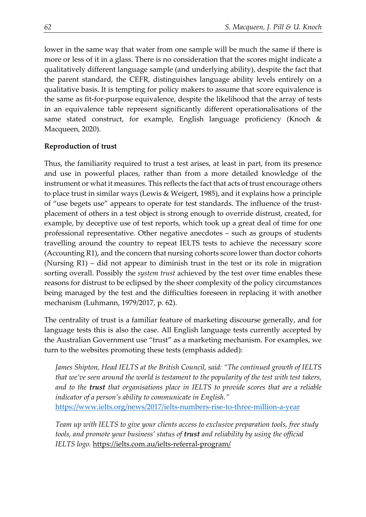lower in the same way that water from one sample will be much the same if there is more or less of it in a glass. There is no consideration that the scores might indicate a qualitatively different language sample (and underlying ability), despite the fact that the parent standard, the CEFR, distinguishes language ability levels entirely on a qualitative basis. It is tempting for policy makers to assume that score equivalence is the same as fit-for-purpose equivalence, despite the likelihood that the array of tests in an equivalence table represent significantly different operationalisations of the same stated construct, for example, English language proficiency (Knoch & Macqueen, 2020).

### **Reproduction of trust**

Thus, the familiarity required to trust a test arises, at least in part, from its presence and use in powerful places, rather than from a more detailed knowledge of the instrument or what it measures. This reflects the fact that acts of trust encourage others to place trust in similar ways (Lewis & Weigert, 1985), and it explains how a principle of "use begets use" appears to operate for test standards. The influence of the trustplacement of others in a test object is strong enough to override distrust, created, for example, by deceptive use of test reports, which took up a great deal of time for one professional representative. Other negative anecdotes – such as groups of students travelling around the country to repeat IELTS tests to achieve the necessary score (Accounting R1), and the concern that nursing cohorts score lower than doctor cohorts (Nursing R1) – did not appear to diminish trust in the test or its role in migration sorting overall. Possibly the *system trust* achieved by the test over time enables these reasons for distrust to be eclipsed by the sheer complexity of the policy circumstances being managed by the test and the difficulties foreseen in replacing it with another mechanism (Luhmann, 1979/2017, p. 62).

The centrality of trust is a familiar feature of marketing discourse generally, and for language tests this is also the case. All English language tests currently accepted by the Australian Government use "trust" as a marketing mechanism. For examples, we turn to the websites promoting these tests (emphasis added):

*James Shipton, Head IELTS at the British Council, said: "The continued growth of IELTS that we've seen around the world is testament to the popularity of the test with test takers, and to the trust that organisations place in IELTS to provide scores that are a reliable indicator of a person's ability to communicate in English."* <https://www.ielts.org/news/2017/ielts-numbers-rise-to-three-million-a-year>

*Team up with IELTS to give your clients access to exclusive preparation tools, free study tools, and promote your business' status of trust and reliability by using the official IELTS logo.* <https://ielts.com.au/ielts-referral-program/>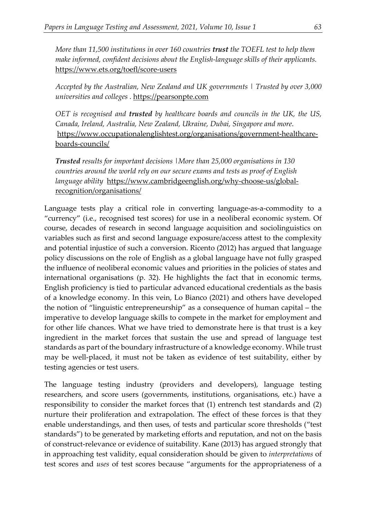*More than 11,500 institutions in over 160 countries trust the TOEFL test to help them make informed, confident decisions about the English-language skills of their applicants.* <https://www.ets.org/toefl/score-users>

*Accepted by the Australian, New Zealand and UK governments | Trusted by over 3,000 universities and colleges* . [https://pearsonpte.com](https://pearsonpte.com/)

*OET is recognised and trusted by healthcare boards and councils in the UK, the US, Canada, Ireland, Australia, New Zealand, Ukraine, Dubai, Singapore and more*. [https://www.occupationalenglishtest.org/organisations/government-healthcare](https://www.occupationalenglishtest.org/organisations/government-healthcare-boards-councils/)[boards-councils/](https://www.occupationalenglishtest.org/organisations/government-healthcare-boards-councils/)

*Trusted results for important decisions |More than 25,000 organisations in 130 countries around the world rely on our secure exams and tests as proof of English language ability* [https://www.cambridgeenglish.org/why-choose-us/global](https://www.cambridgeenglish.org/why-choose-us/global-recognition/organisations/)[recognition/organisations/](https://www.cambridgeenglish.org/why-choose-us/global-recognition/organisations/)

Language tests play a critical role in converting language-as-a-commodity to a "currency" (i.e., recognised test scores) for use in a neoliberal economic system. Of course, decades of research in second language acquisition and sociolinguistics on variables such as first and second language exposure/access attest to the complexity and potential injustice of such a conversion. Ricento (2012) has argued that language policy discussions on the role of English as a global language have not fully grasped the influence of neoliberal economic values and priorities in the policies of states and international organisations (p. 32). He highlights the fact that in economic terms, English proficiency is tied to particular advanced educational credentials as the basis of a knowledge economy. In this vein, Lo Bianco (2021) and others have developed the notion of "linguistic entrepreneurship" as a consequence of human capital – the imperative to develop language skills to compete in the market for employment and for other life chances. What we have tried to demonstrate here is that trust is a key ingredient in the market forces that sustain the use and spread of language test standards as part of the boundary infrastructure of a knowledge economy. While trust may be well-placed, it must not be taken as evidence of test suitability, either by testing agencies or test users.

The language testing industry (providers and developers), language testing researchers, and score users (governments, institutions, organisations, etc.) have a responsibility to consider the market forces that (1) entrench test standards and (2) nurture their proliferation and extrapolation. The effect of these forces is that they enable understandings, and then uses, of tests and particular score thresholds ("test standards") to be generated by marketing efforts and reputation, and not on the basis of construct-relevance or evidence of suitability. Kane (2013) has argued strongly that in approaching test validity, equal consideration should be given to *interpretations* of test scores and *uses* of test scores because "arguments for the appropriateness of a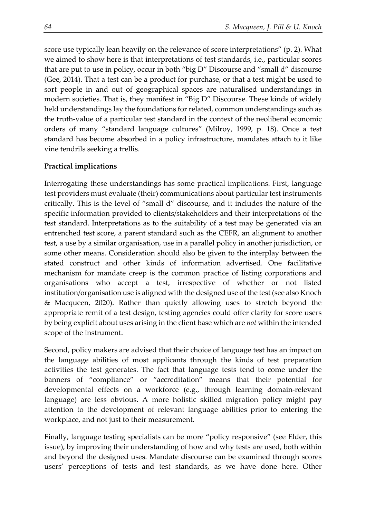score use typically lean heavily on the relevance of score interpretations" (p. 2). What we aimed to show here is that interpretations of test standards, i.e., particular scores that are put to use in policy, occur in both "big D" Discourse and "small d" discourse (Gee, 2014). That a test can be a product for purchase, or that a test might be used to sort people in and out of geographical spaces are naturalised understandings in modern societies. That is, they manifest in "Big D" Discourse. These kinds of widely held understandings lay the foundations for related, common understandings such as the truth-value of a particular test standard in the context of the neoliberal economic orders of many "standard language cultures" (Milroy, 1999, p. 18). Once a test standard has become absorbed in a policy infrastructure, mandates attach to it like vine tendrils seeking a trellis.

#### **Practical implications**

Interrogating these understandings has some practical implications. First, language test providers must evaluate (their) communications about particular test instruments critically. This is the level of "small d" discourse, and it includes the nature of the specific information provided to clients/stakeholders and their interpretations of the test standard. Interpretations as to the suitability of a test may be generated via an entrenched test score, a parent standard such as the CEFR, an alignment to another test, a use by a similar organisation, use in a parallel policy in another jurisdiction, or some other means. Consideration should also be given to the interplay between the stated construct and other kinds of information advertised. One facilitative mechanism for mandate creep is the common practice of listing corporations and organisations who accept a test, irrespective of whether or not listed institution/organisation use is aligned with the designed use of the test (see also Knoch & Macqueen, 2020). Rather than quietly allowing uses to stretch beyond the appropriate remit of a test design, testing agencies could offer clarity for score users by being explicit about uses arising in the client base which are *not* within the intended scope of the instrument.

Second, policy makers are advised that their choice of language test has an impact on the language abilities of most applicants through the kinds of test preparation activities the test generates. The fact that language tests tend to come under the banners of "compliance" or "accreditation" means that their potential for developmental effects on a workforce (e.g., through learning domain-relevant language) are less obvious. A more holistic skilled migration policy might pay attention to the development of relevant language abilities prior to entering the workplace, and not just to their measurement.

Finally, language testing specialists can be more "policy responsive" (see Elder, this issue), by improving their understanding of how and why tests are used, both within and beyond the designed uses. Mandate discourse can be examined through scores users' perceptions of tests and test standards, as we have done here. Other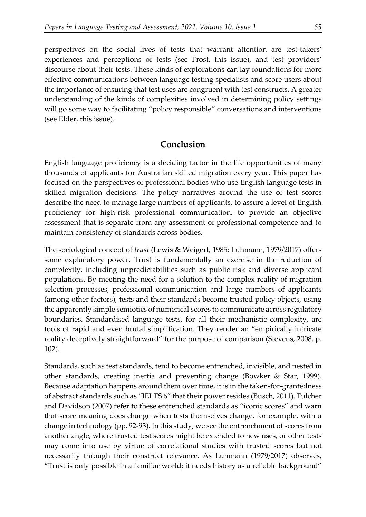perspectives on the social lives of tests that warrant attention are test-takers' experiences and perceptions of tests (see Frost, this issue), and test providers' discourse about their tests. These kinds of explorations can lay foundations for more effective communications between language testing specialists and score users about the importance of ensuring that test uses are congruent with test constructs. A greater understanding of the kinds of complexities involved in determining policy settings will go some way to facilitating "policy responsible" conversations and interventions (see Elder, this issue).

### **Conclusion**

English language proficiency is a deciding factor in the life opportunities of many thousands of applicants for Australian skilled migration every year. This paper has focused on the perspectives of professional bodies who use English language tests in skilled migration decisions. The policy narratives around the use of test scores describe the need to manage large numbers of applicants, to assure a level of English proficiency for high-risk professional communication, to provide an objective assessment that is separate from any assessment of professional competence and to maintain consistency of standards across bodies.

The sociological concept of *trust* (Lewis & Weigert, 1985; Luhmann, 1979/2017) offers some explanatory power. Trust is fundamentally an exercise in the reduction of complexity, including unpredictabilities such as public risk and diverse applicant populations. By meeting the need for a solution to the complex reality of migration selection processes, professional communication and large numbers of applicants (among other factors), tests and their standards become trusted policy objects, using the apparently simple semiotics of numerical scores to communicate across regulatory boundaries. Standardised language tests, for all their mechanistic complexity, are tools of rapid and even brutal simplification. They render an "empirically intricate reality deceptively straightforward" for the purpose of comparison (Stevens, 2008, p. 102).

Standards, such as test standards, tend to become entrenched, invisible, and nested in other standards, creating inertia and preventing change (Bowker & Star, 1999). Because adaptation happens around them over time, it is in the taken-for-grantedness of abstract standards such as "IELTS 6" that their power resides (Busch, 2011). Fulcher and Davidson (2007) refer to these entrenched standards as "iconic scores" and warn that score meaning does change when tests themselves change, for example, with a change in technology (pp. 92-93). In this study, we see the entrenchment of scores from another angle, where trusted test scores might be extended to new uses, or other tests may come into use by virtue of correlational studies with trusted scores but not necessarily through their construct relevance. As Luhmann (1979/2017) observes, "Trust is only possible in a familiar world; it needs history as a reliable background"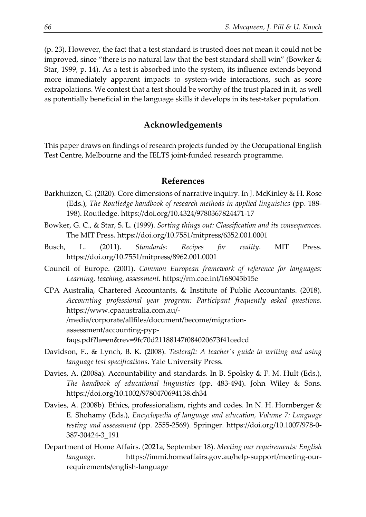(p. 23). However, the fact that a test standard is trusted does not mean it could not be improved, since "there is no natural law that the best standard shall win" (Bowker & Star, 1999, p. 14). As a test is absorbed into the system, its influence extends beyond more immediately apparent impacts to system-wide interactions, such as score extrapolations. We contest that a test should be worthy of the trust placed in it, as well as potentially beneficial in the language skills it develops in its test-taker population.

# **Acknowledgements**

This paper draws on findings of research projects funded by the Occupational English Test Centre, Melbourne and the IELTS joint-funded research programme.

### **References**

- Barkhuizen, G. (2020). Core dimensions of narrative inquiry. In J. McKinley & H. Rose (Eds.), *The Routledge handbook of research methods in applied linguistics* (pp. 188- 198). Routledge. https://doi.org/10.4324/9780367824471-17
- Bowker, G. C., & Star, S. L. (1999). *Sorting things out: Classification and its consequences*. The MIT Press. https://doi.org/10.7551/mitpress/6352.001.0001
- Busch, L. (2011). *Standards: Recipes for reality*. MIT Press. https://doi.org/10.7551/mitpress/8962.001.0001
- Council of Europe. (2001). *Common European framework of reference for languages: Learning, teaching, assessment.* https://rm.coe.int/168045b15e
- CPA Australia, Chartered Accountants, & Institute of Public Accountants. (2018). *Accounting professional year program: Participant frequently asked questions*. https://www.cpaaustralia.com.au/- /media/corporate/allfiles/document/become/migrationassessment/accounting-pypfaqs.pdf?la=en&rev=9fc70d21188147f084020673f41cedcd
- Davidson, F., & Lynch, B. K. (2008). *Testcraft: A teacher's guide to writing and using language test specifications*. Yale University Press.
- Davies, A. (2008a). Accountability and standards. In B. Spolsky & F. M. Hult (Eds.), *The handbook of educational linguistics* (pp. 483-494). John Wiley & Sons. https://doi.org/10.1002/9780470694138.ch34
- Davies, A. (2008b). Ethics, professionalism, rights and codes. In N. H. Hornberger & E. Shohamy (Eds.), *Encyclopedia of language and education, Volume 7: Language testing and assessment* (pp. 2555-2569). Springer. https://doi.org/10.1007/978-0- 387-30424-3\_191
- Department of Home Affairs. (2021a, September 18). *Meeting our requirements: English language*. https://immi.homeaffairs.gov.au/help-support/meeting-ourrequirements/english-language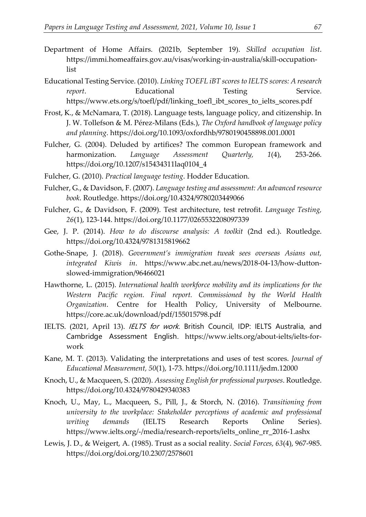- Department of Home Affairs. (2021b, September 19). *Skilled occupation list*. https://immi.homeaffairs.gov.au/visas/working-in-australia/skill-occupationlist
- Educational Testing Service. (2010). *Linking TOEFL iBT scores to IELTS scores: A research report*. Educational Testing Service. https://www.ets.org/s/toefl/pdf/linking\_toefl\_ibt\_scores\_to\_ielts\_scores.pdf
- Frost, K., & McNamara, T. (2018). Language tests, language policy, and citizenship. In J. W. Tollefson & M. Pérez-Milans (Eds.), *The Oxford handbook of language policy and planning*. https://doi.org/10.1093/oxfordhb/9780190458898.001.0001
- Fulcher, G. (2004). Deluded by artifices? The common European framework and harmonization. *Language Assessment Quarterly, 1*(4), 253-266. https://doi.org/10.1207/s15434311laq0104\_4
- Fulcher, G. (2010). *Practical language testing*. Hodder Education.
- Fulcher, G., & Davidson, F. (2007). *Language testing and assessment: An advanced resource book*. Routledge. https://doi.org/10.4324/9780203449066
- Fulcher, G., & Davidson, F. (2009). Test architecture, test retrofit. *Language Testing, 26*(1), 123-144. https://doi.org/10.1177/0265532208097339
- Gee, J. P. (2014). *How to do discourse analysis: A toolkit* (2nd ed.). Routledge. https://doi.org/10.4324/9781315819662
- Gothe-Snape, J. (2018). *Government's immigration tweak sees overseas Asians out, integrated Kiwis in*. https://www.abc.net.au/news/2018-04-13/how-duttonslowed-immigration/96466021
- Hawthorne, L. (2015). *International health workforce mobility and its implications for the Western Pacific region. Final report. Commissioned by the World Health Organization*. Centre for Health Policy, University of Melbourne. https://core.ac.uk/download/pdf/155015798.pdf
- IELTS. (2021, April 13). IELTS for work. British Council, IDP: IELTS Australia, and Cambridge Assessment English. https://www.ielts.org/about-ielts/ielts-forwork
- Kane, M. T. (2013). Validating the interpretations and uses of test scores. *Journal of Educational Measurement, 50*(1), 1-73. https://doi.org/10.1111/jedm.12000
- Knoch, U., & Macqueen, S. (2020). *Assessing English for professional purposes*. Routledge. https://doi.org/10.4324/9780429340383
- Knoch, U., May, L., Macqueen, S., Pill, J., & Storch, N. (2016). *Transitioning from university to the workplace: Stakeholder perceptions of academic and professional writing demands* (IELTS Research Reports Online Series). https://www.ielts.org/-/media/research-reports/ielts\_online\_rr\_2016-1.ashx
- Lewis, J. D., & Weigert, A. (1985). Trust as a social reality. *Social Forces, 63*(4), 967-985. https://doi.org/doi.org/10.2307/2578601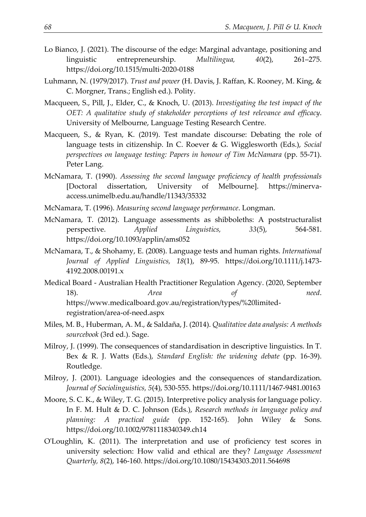- Lo Bianco, J. (2021). The discourse of the edge: Marginal advantage, positioning and linguistic entrepreneurship. *Multilingua, 40*(2), 261–275. https://doi.org/10.1515/multi-2020-0188
- Luhmann, N. (1979/2017). *Trust and power* (H. Davis, J. Raffan, K. Rooney, M. King, & C. Morgner, Trans.; English ed.). Polity.
- Macqueen, S., Pill, J., Elder, C., & Knoch, U. (2013). *Investigating the test impact of the OET: A qualitative study of stakeholder perceptions of test relevance and efficacy*. University of Melbourne, Language Testing Research Centre.
- Macqueen, S., & Ryan, K. (2019). Test mandate discourse: Debating the role of language tests in citizenship. In C. Roever & G. Wigglesworth (Eds.), *Social perspectives on language testing: Papers in honour of Tim McNamara* (pp. 55-71). Peter Lang.
- McNamara, T. (1990). *Assessing the second language proficiency of health professionals* [Doctoral dissertation, University of Melbourne]. https://minervaaccess.unimelb.edu.au/handle/11343/35332
- McNamara, T. (1996). *Measuring second language performance*. Longman.
- McNamara, T. (2012). Language assessments as shibboleths: A poststructuralist perspective. *Applied Linguistics, 33*(5), 564-581. https://doi.org/10.1093/applin/ams052
- McNamara, T., & Shohamy, E. (2008). Language tests and human rights. *International Journal of Applied Linguistics, 18*(1), 89-95. https://doi.org/10.1111/j.1473- 4192.2008.00191.x
- Medical Board Australian Health Practitioner Regulation Agency. (2020, September 18). *Area of need*. https://www.medicalboard.gov.au/registration/types/%20limitedregistration/area-of-need.aspx
- Miles, M. B., Huberman, A. M., & Saldaña, J. (2014). *Qualitative data analysis: A methods sourcebook* (3rd ed.). Sage.
- Milroy, J. (1999). The consequences of standardisation in descriptive linguistics. In T. Bex & R. J. Watts (Eds.), *Standard English: the widening debate* (pp. 16-39). Routledge.
- Milroy, J. (2001). Language ideologies and the consequences of standardization. *Journal of Sociolinguistics, 5*(4), 530-555. https://doi.org/10.1111/1467-9481.00163
- Moore, S. C. K., & Wiley, T. G. (2015). Interpretive policy analysis for language policy. In F. M. Hult & D. C. Johnson (Eds.), *Research methods in language policy and planning: A practical guide* (pp. 152-165). John Wiley & Sons. https://doi.org/10.1002/9781118340349.ch14
- O'Loughlin, K. (2011). The interpretation and use of proficiency test scores in university selection: How valid and ethical are they? *Language Assessment Quarterly, 8*(2), 146-160. https://doi.org/10.1080/15434303.2011.564698